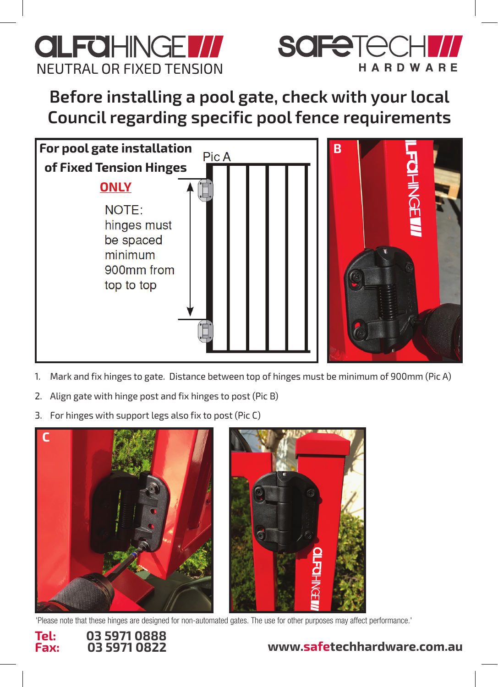



Before installing a pool gate, check with your local **Council regarding specific pool fence requirements**



- 1. Mark and fix hinges to gate. Distance between top of hinges must be minimum of 900mm (Pic A)
- $1.11.$  Mark and fix hinder to gate. Distance between top of  $\mu$   $\geq$   $\mu$ 2. Align gate with hinge post and fix hinges to post (Pic B)
- 3. For hinges with support legs also fix to post (Pic C)



'Please note that these hinges are designed for non-automated gates. The use for other purposes may affect performance.'



## **www.safetechhardware.com.au**